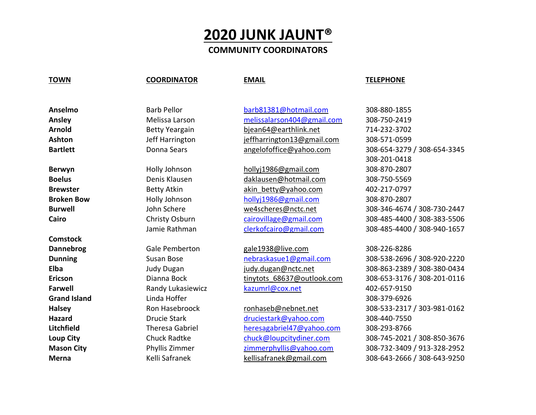## **2020 JUNK JAUNT®**

## **COMMUNITY COORDINATORS**

### **TOWN COORDINATOR EMAIL TELEPHONE**

**Comstock**

**Grand Island Example 308-379-6926** Linda Hoffer **Contract Contract 10 and 2001 10 and 308-379-6926** 

**Anselmo** Barb Pellor [barb81381@hotmail.com](mailto:barb81381@hotmail.com) 308-880-1855 **Ansley** Melissa Larson [melissalarson404@gmail.com](mailto:melissalarson404@gmail.com) 308-750-2419 **Arnold** Betty Yeargain [bjean64@earthlink.net](mailto:bjean64@earthlink.net) 714-232-3702 **Ashton** Jeff Harrington [jeffharrington13@gmail.com](mailto:jeffharrington13@gmail.com) 308-571-0599 Bartlett **Bartlett** Donna Sears [angelofoffice@yahoo.com](mailto:angelofoffice@yahoo.com) 308-654-3279 / 308-654-3345

**Berwyn** Holly Johnson [hollyj1986@gmail.com](mailto:hollyj1986@gmail.com) 308-870-2807 **Boelus Denis Klausen [daklausen@hotmail.com](mailto:daklausen@hotmail.com)** 308-750-5569 **Brewster Betty Atkin** akin betty@yahoo.com 402-217-0797 **Broken Bow** Holly Johnson [hollyj1986@gmail.com](mailto:hollyj1986@gmail.com) 308-870-2807

**Dannebrog** Gale Pemberton [gale1938@live.com](mailto:gale1938@live.com) 308-226-8286 **Farwell Randy Lukasiewicz** [kazumrl@cox.net](mailto:kazumrl@cox.net) 402-657-9150

**Hazard Drucie Stark [druciestark@yahoo.com](mailto:druciestark@yahoo.com)** 308-440-7550 **Litchfield** Theresa Gabriel [heresagabriel47@yahoo.com](mailto:heresagabriel47@yahoo.com) 308-293-8766 **Loup City** Chuck Radtke chuck **Chuck** Chuck Radtke chuck Chuck Chuck Chuck Chuck Chuck Chuck Chuck Chuck Chuck Chuck Chuck Chuck Chuck Chuck Chuck Chuck Chuck Chuck Chuck Chuck Chuck Chuck Chuck Chuck Chuck Chuck Chuck Ch **Mason City** Phyllis Zimmer [zimmerphyllis@yahoo.com](mailto:zimmerphyllis@yahoo.com) 308-732-3409 / 913-328-2952 **Merna** Kelli Safranek [kellisafranek@gmail.com](mailto:kellisafranek@gmail.com) 308-643-2666 / 308-643-9250

308-201-0418 **Burwell** John Schere [we4scheres@nctc.net](mailto:we4scheres@nctc.net) 308-346-4674 / 308-730-2447 **Cairo** Christy Osburn [cairovillage@gmail.com](mailto:cairovillage@gmail.com) 308-485-4400 / 308-383-5506 Jamie Rathman [clerkofcairo@gmail.com](mailto:clerkofcairo@gmail.com) 308-485-4400 / 308-940-1657

**Dunning** Susan Bose Susan Bose [nebraskasue1@gmail.com](mailto:nebraskasue1@gmail.com) 308-538-2696 / 308-920-2220 **Elba** Judy Dugan [judy.dugan@nctc.net](mailto:judy.dugan@nctc.net) 308-863-2389 / 308-380-0434 **Ericson** Dianna Bock [tinytots\\_68637@outlook.com](mailto:tinytots_68637@outlook.com) 308-653-3176 / 308-201-0116 Halsey Ron Hasebroock [ronhaseb@nebnet.net](mailto:ronhaseb@nebnet.net) 308-533-2317 / 303-981-0162